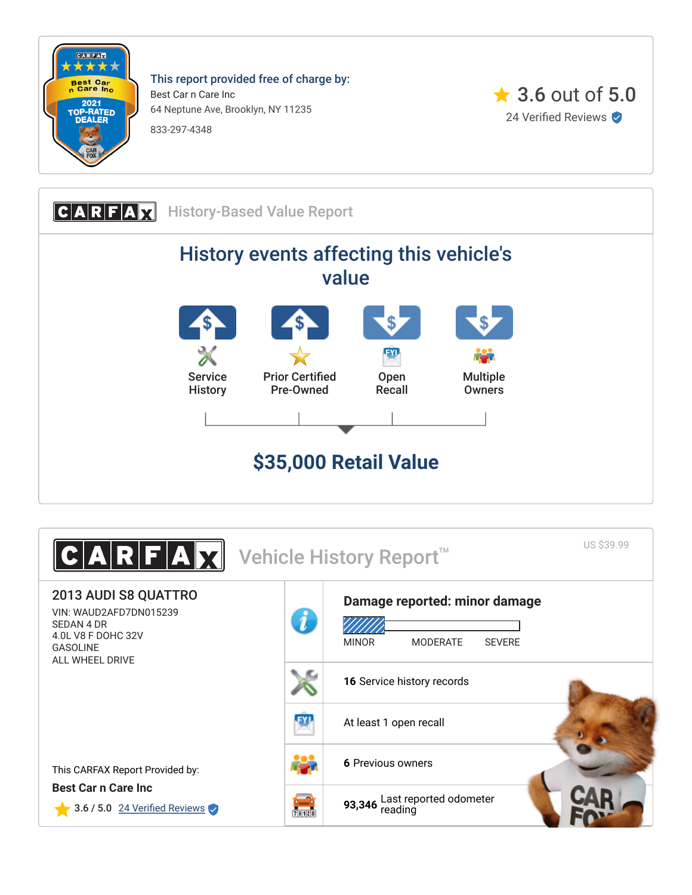

This report provided free of charge by: Best Car n Care Inc 64 Neptune Ave, Brooklyn, NY 11235 833-297-4348





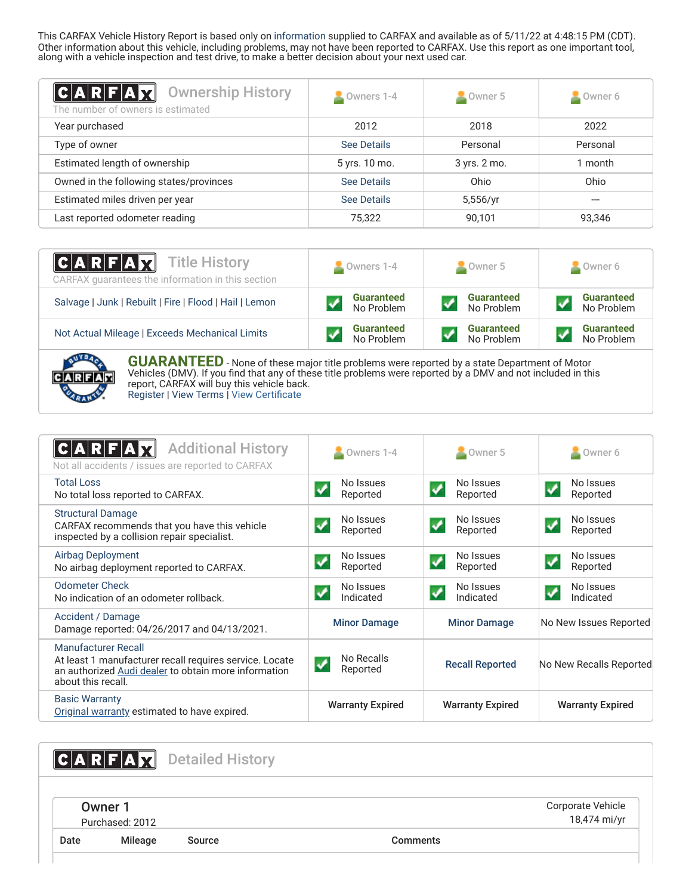This CARFAX Vehicle History Report is based only on [information](http://www.carfax.com/company/vhr-data-sources) supplied to CARFAX and available as of 5/11/22 at 4:48:15 PM (CDT). Other information about this vehicle, including problems, may not have been reported to CARFAX. Use this report as one important tool, along with a vehicle inspection and test drive, to make a better decision about your next used car.

<span id="page-1-2"></span>

| C A R F A X <br><b>Ownership History</b><br>The number of owners is estimated | Owners 1-4    | $\sim$ Owner 5 | Owner 6  |
|-------------------------------------------------------------------------------|---------------|----------------|----------|
| Year purchased                                                                | 2012          | 2018           | 2022     |
| Type of owner                                                                 | See Details   | Personal       | Personal |
| Estimated length of ownership                                                 | 5 yrs. 10 mo. | 3 yrs. 2 mo.   | 1 month  |
| Owned in the following states/provinces                                       | See Details   | Ohio           | Ohio     |
| Estimated miles driven per year                                               | See Details   | 5,556/yr       | ---      |
| Last reported odometer reading                                                | 75.322        | 90,101         | 93,346   |

| $ C $ <b>A</b> $ R F $ <b>A</b> $ X $ Title History<br>CARFAX guarantees the information in this section | Owners 1-4        | Owner 5           | Owner 6           |
|----------------------------------------------------------------------------------------------------------|-------------------|-------------------|-------------------|
| Salvage   Junk   Rebuilt   Fire   Flood   Hail   Lemon                                                   | <b>Guaranteed</b> | <b>Guaranteed</b> | <b>Guaranteed</b> |
|                                                                                                          | No Problem        | No Problem        | No Problem        |
| Not Actual Mileage   Exceeds Mechanical Limits                                                           | <b>Guaranteed</b> | <b>Guaranteed</b> | <b>Guaranteed</b> |
|                                                                                                          | No Problem        | No Problem        | No Problem        |



**GUARANTEED** - None of these major title problems were reported by a state Department of Motor Vehicles (DMV). If you find that any of these title problems were reported by a DMV and not included in this report, CARFAX will buy this vehicle back. [Register](https://www.carfax.com/Service/bbg) | [View Terms](http://www.carfaxonline.com/legal/bbgTerms) | [View Certificate](https://www.carfaxonline.com/vhrs/WAUD2AFD7DN015239)

<span id="page-1-0"></span>

| <b>Additional History</b><br>Not all accidents / issues are reported to CARFAX                                                                                      | $\sim$ Owners 1-4           | Owner 5                     | $\blacksquare$ Owner 6                        |
|---------------------------------------------------------------------------------------------------------------------------------------------------------------------|-----------------------------|-----------------------------|-----------------------------------------------|
| <b>Total Loss</b><br>No total loss reported to CARFAX.                                                                                                              | No Issues<br>Reported       | No Issues<br>Reported       | No Issues<br>Reported                         |
| <b>Structural Damage</b><br>CARFAX recommends that you have this vehicle<br>inspected by a collision repair specialist.                                             | No Issues<br>Reported       | No Issues<br>√<br>Reported  | No Issues<br>$\blacktriangledown$<br>Reported |
| Airbag Deployment<br>No airbag deployment reported to CARFAX.                                                                                                       | No Issues<br>Reported       | No Issues<br>Reported       | No Issues<br>Reported                         |
| <b>Odometer Check</b><br>No indication of an odometer rollback.                                                                                                     | No Issues<br>Indicated      | No Issues<br>✔<br>Indicated | No Issues<br>✓<br>Indicated                   |
| Accident / Damage<br>Damage reported: 04/26/2017 and 04/13/2021.                                                                                                    | <b>Minor Damage</b>         | <b>Minor Damage</b>         | No New Issues Reported                        |
| <b>Manufacturer Recall</b><br>At least 1 manufacturer recall requires service. Locate<br>an authorized Audi dealer to obtain more information<br>about this recall. | No Recalls<br>✓<br>Reported | <b>Recall Reported</b>      | No New Recalls Reported                       |
| <b>Basic Warranty</b><br>Original warranty estimated to have expired.                                                                                               | <b>Warranty Expired</b>     | <b>Warranty Expired</b>     | <b>Warranty Expired</b>                       |

<span id="page-1-3"></span><span id="page-1-1"></span>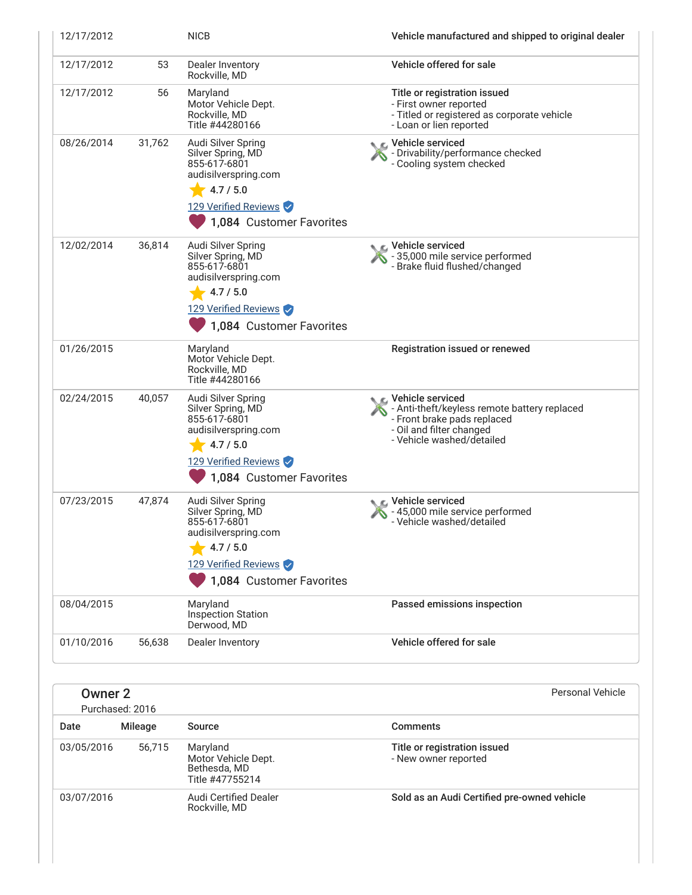| 12/17/2012 |        | <b>NICB</b>                                                                                                                                      | Vehicle manufactured and shipped to original dealer                                                                                                        |
|------------|--------|--------------------------------------------------------------------------------------------------------------------------------------------------|------------------------------------------------------------------------------------------------------------------------------------------------------------|
| 12/17/2012 | 53     | Dealer Inventory<br>Rockville, MD                                                                                                                | Vehicle offered for sale                                                                                                                                   |
| 12/17/2012 | 56     | Maryland<br>Motor Vehicle Dept.<br>Rockville, MD<br>Title #44280166                                                                              | Title or registration issued<br>- First owner reported<br>- Titled or registered as corporate vehicle<br>- Loan or lien reported                           |
| 08/26/2014 | 31,762 | Audi Silver Spring<br>Silver Spring, MD<br>855-617-6801<br>audisilverspring.com<br>4.7 / 5.0<br>129 Verified Reviews<br>1,084 Customer Favorites | ic⊾ Vehicle serviced<br>- Drivability/performance checked<br>- Cooling system checked                                                                      |
| 12/02/2014 | 36,814 | Audi Silver Spring<br>Silver Spring, MD<br>855-617-6801<br>audisilverspring.com<br>4.7 / 5.0<br>129 Verified Reviews<br>1,084 Customer Favorites | $\bullet$ C Vehicle serviced<br>- 35,000 mile service performed<br>- Brake fluid flushed/changed                                                           |
| 01/26/2015 |        | Maryland<br>Motor Vehicle Dept.<br>Rockville, MD<br>Title #44280166                                                                              | Registration issued or renewed                                                                                                                             |
| 02/24/2015 | 40,057 | Audi Silver Spring<br>Silver Spring, MD<br>855-617-6801<br>audisilverspring.com<br>4.7 / 5.0<br>129 Verified Reviews<br>1,084 Customer Favorites | C Vehicle serviced<br>- Anti-theft/keyless remote battery replaced<br>- Front brake pads replaced<br>- Oil and filter changed<br>- Vehicle washed/detailed |
| 07/23/2015 | 47,874 | Audi Silver Spring<br>Silver Spring, MD<br>855-617-6801<br>audisilverspring.com<br>4.7 / 5.0<br>129 Verified Reviews<br>1,084 Customer Favorites | C Vehicle serviced<br>- 45,000 mile service performed<br>- Vehicle washed/detailed                                                                         |
| 08/04/2015 |        | Maryland<br>Inspection Station<br>Derwood, MD                                                                                                    | Passed emissions inspection                                                                                                                                |
| 01/10/2016 | 56,638 | Dealer Inventory                                                                                                                                 | Vehicle offered for sale                                                                                                                                   |

| Owner <sub>2</sub> | Purchased: 2016 |                                                                    | Personal Vehicle                                     |
|--------------------|-----------------|--------------------------------------------------------------------|------------------------------------------------------|
| Date               | Mileage         | Source                                                             | <b>Comments</b>                                      |
| 03/05/2016         | 56.715          | Maryland<br>Motor Vehicle Dept.<br>Bethesda, MD<br>Title #47755214 | Title or registration issued<br>- New owner reported |
| 03/07/2016         |                 | Audi Certified Dealer<br>Rockville, MD                             | Sold as an Audi Certified pre-owned vehicle          |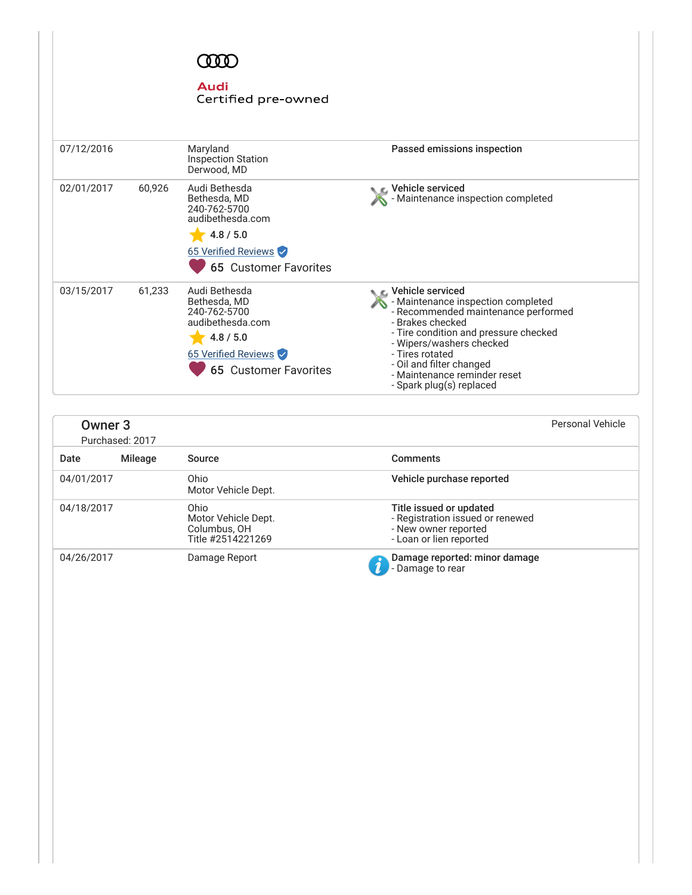# **COO**

## **Audi**

### Certified pre-owned

| 07/12/2016 |        | Maryland<br><b>Inspection Station</b><br>Derwood. MD                                                                                  | Passed emissions inspection                                                                                                                                                                                                                                                                         |
|------------|--------|---------------------------------------------------------------------------------------------------------------------------------------|-----------------------------------------------------------------------------------------------------------------------------------------------------------------------------------------------------------------------------------------------------------------------------------------------------|
| 02/01/2017 | 60,926 | Audi Bethesda<br>Bethesda, MD<br>240-762-5700<br>audibethesda.com<br>4.8 / 5.0<br>65 Verified Reviews<br><b>65 Customer Favorites</b> | ⊾ ∈. Vehicle serviced<br>- Maintenance inspection completed                                                                                                                                                                                                                                         |
| 03/15/2017 | 61,233 | Audi Bethesda<br>Bethesda, MD<br>240-762-5700<br>audibethesda.com<br>4.8 / 5.0<br>65 Verified Reviews<br><b>65 Customer Favorites</b> | ← Vehicle serviced<br>- Maintenance inspection completed<br>- Recommended maintenance performed<br>- Brakes checked<br>- Tire condition and pressure checked<br>- Wipers/washers checked<br>- Tires rotated<br>- Oil and filter changed<br>- Maintenance reminder reset<br>- Spark plug(s) replaced |

| Owner <sub>3</sub> | Purchased: 2017 |                                                                  | <b>Personal Vehicle</b>                                                                                        |
|--------------------|-----------------|------------------------------------------------------------------|----------------------------------------------------------------------------------------------------------------|
| Date               | <b>Mileage</b>  | Source                                                           | <b>Comments</b>                                                                                                |
| 04/01/2017         |                 | Ohio<br>Motor Vehicle Dept.                                      | Vehicle purchase reported                                                                                      |
| 04/18/2017         |                 | Ohio<br>Motor Vehicle Dept.<br>Columbus, OH<br>Title #2514221269 | Title issued or updated<br>- Registration issued or renewed<br>- New owner reported<br>- Loan or lien reported |
| 04/26/2017         |                 | Damage Report                                                    | Damage reported: minor damage<br>- Damage to rear                                                              |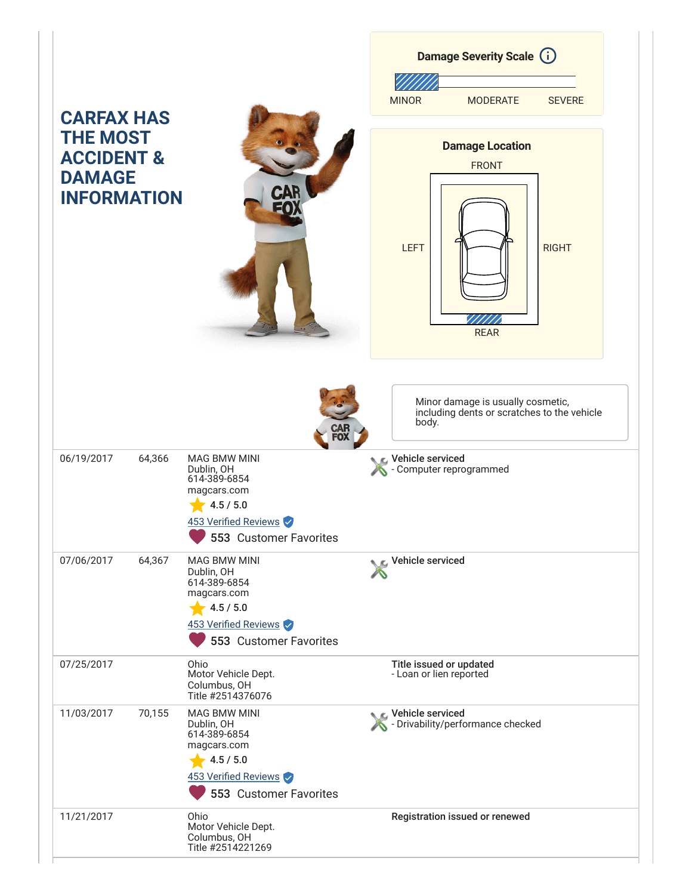|                                                                                                      |        |                                                                                                                                 | Damage Severity Scale (i)                                                                 |
|------------------------------------------------------------------------------------------------------|--------|---------------------------------------------------------------------------------------------------------------------------------|-------------------------------------------------------------------------------------------|
|                                                                                                      |        |                                                                                                                                 | <b>MINOR</b><br><b>MODERATE</b><br><b>SEVERE</b>                                          |
| <b>CARFAX HAS</b><br><b>THE MOST</b><br><b>ACCIDENT &amp;</b><br><b>DAMAGE</b><br><b>INFORMATION</b> |        | CAR<br>ובֿ                                                                                                                      | <b>Damage Location</b><br><b>FRONT</b><br><b>LEFT</b><br><b>RIGHT</b><br><b>REAR</b>      |
|                                                                                                      |        |                                                                                                                                 | Minor damage is usually cosmetic,<br>including dents or scratches to the vehicle<br>body. |
| 06/19/2017                                                                                           | 64,366 | <b>MAG BMW MINI</b><br>Dublin, OH<br>614-389-6854<br>magcars.com<br>4.5 / 5.0<br>453 Verified Reviews<br>553 Customer Favorites | Vehicle serviced<br>Computer reprogrammed                                                 |
| 07/06/2017                                                                                           | 64,367 | <b>MAG BMW MINI</b><br>Dublin, OH<br>614-389-6854<br>magcars.com<br>4.5 / 5.0<br>453 Verified Reviews<br>553 Customer Favorites | Vehicle serviced                                                                          |
| 07/25/2017                                                                                           |        | Ohio<br>Motor Vehicle Dept.<br>Columbus, OH<br>Title #2514376076                                                                | Title issued or updated<br>- Loan or lien reported                                        |
| 11/03/2017                                                                                           | 70,155 | <b>MAG BMW MINI</b><br>Dublin, OH<br>614-389-6854<br>magcars.com<br>4.5 / 5.0<br>453 Verified Reviews<br>553 Customer Favorites | Vehicle serviced<br>- Drivability/performance checked                                     |
| 11/21/2017                                                                                           |        | Ohio<br>Motor Vehicle Dept.<br>Columbus, OH<br>Title #2514221269                                                                | Registration issued or renewed                                                            |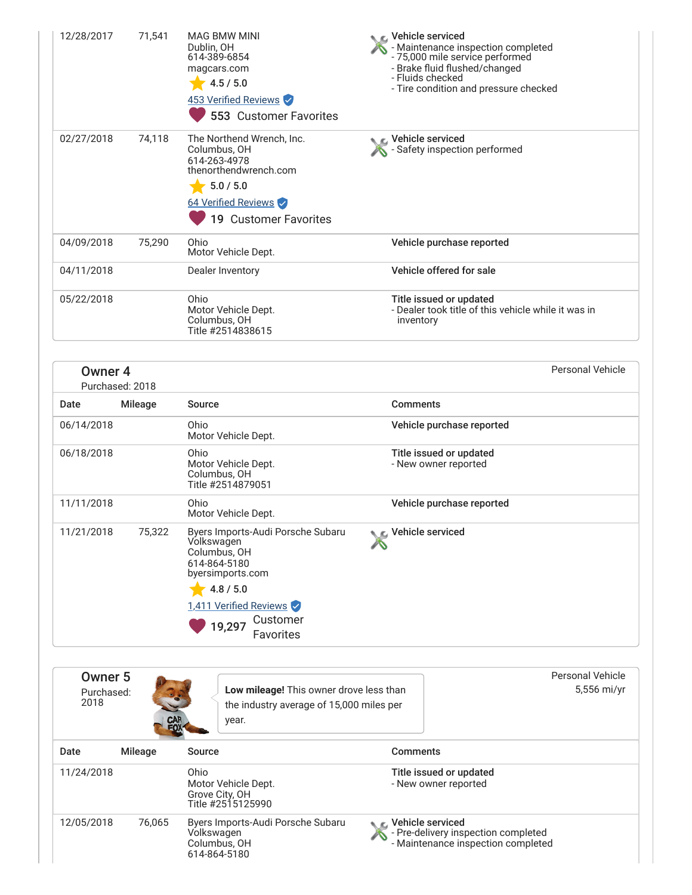| 12/28/2017 | 71,541 | <b>MAG BMW MINI</b><br>Dublin, OH<br>614-389-6854<br>magcars.com<br>4.5 / 5.0<br>453 Verified Reviews<br>553 Customer Favorites                 | Vehicle serviced<br>- Maintenance inspection completed<br>- 75,000 mile service performed<br>- Brake fluid flushed/changed<br>- Fluids checked<br>- Tire condition and pressure checked |
|------------|--------|-------------------------------------------------------------------------------------------------------------------------------------------------|-----------------------------------------------------------------------------------------------------------------------------------------------------------------------------------------|
| 02/27/2018 | 74,118 | The Northend Wrench, Inc.<br>Columbus, OH<br>614-263-4978<br>thenorthendwrench.com<br>5.0 / 5.0<br>64 Verified Reviews<br>19 Customer Favorites | ∟ Vehicle serviced<br>- Safety inspection performed                                                                                                                                     |
| 04/09/2018 | 75,290 | Ohio<br>Motor Vehicle Dept.                                                                                                                     | Vehicle purchase reported                                                                                                                                                               |
| 04/11/2018 |        | Dealer Inventory                                                                                                                                | Vehicle offered for sale                                                                                                                                                                |
| 05/22/2018 |        | Ohio<br>Motor Vehicle Dept.<br>Columbus, OH<br>Title #2514838615                                                                                | Title issued or updated<br>- Dealer took title of this vehicle while it was in<br>inventory                                                                                             |

| Owner <sub>4</sub> | Purchased: 2018 |                                                                                                                                                                               |                                                 | Personal Vehicle |
|--------------------|-----------------|-------------------------------------------------------------------------------------------------------------------------------------------------------------------------------|-------------------------------------------------|------------------|
| Date               | Mileage         | Source                                                                                                                                                                        | <b>Comments</b>                                 |                  |
| 06/14/2018         |                 | Ohio<br>Motor Vehicle Dept.                                                                                                                                                   | Vehicle purchase reported                       |                  |
| 06/18/2018         |                 | Ohio<br>Motor Vehicle Dept.<br>Columbus, OH<br>Title #2514879051                                                                                                              | Title issued or updated<br>- New owner reported |                  |
| 11/11/2018         |                 | Ohio<br>Motor Vehicle Dept.                                                                                                                                                   | Vehicle purchase reported                       |                  |
| 11/21/2018         | 75,322          | Byers Imports-Audi Porsche Subaru<br>Volkswagen<br>Columbus, OH<br>614-864-5180<br>byersimports.com<br>4.8 / 5.0<br>1,411 Verified Reviews<br>Customer<br>19,297<br>Favorites | <b>NE</b> Vehicle serviced                      |                  |

<span id="page-5-0"></span>

| Owner 5<br>Purchased:<br>2018 | CAR     |                                             | Low mileage! This owner drove less than<br>the industry average of 15,000 miles per<br>year. |                       | Personal Vehicle<br>5,556 mi/yr                                           |
|-------------------------------|---------|---------------------------------------------|----------------------------------------------------------------------------------------------|-----------------------|---------------------------------------------------------------------------|
| Date                          | Mileage | Source                                      |                                                                                              | <b>Comments</b>       |                                                                           |
| 11/24/2018                    |         | Ohio<br>Grove City, OH<br>Title #2515125990 | Motor Vehicle Dept.                                                                          |                       | Title issued or updated<br>- New owner reported                           |
| 12/05/2018                    | 76,065  | Volkswagen<br>Columbus, OH<br>614-864-5180  | Byers Imports-Audi Porsche Subaru                                                            | ● E. Vehicle serviced | - Pre-delivery inspection completed<br>- Maintenance inspection completed |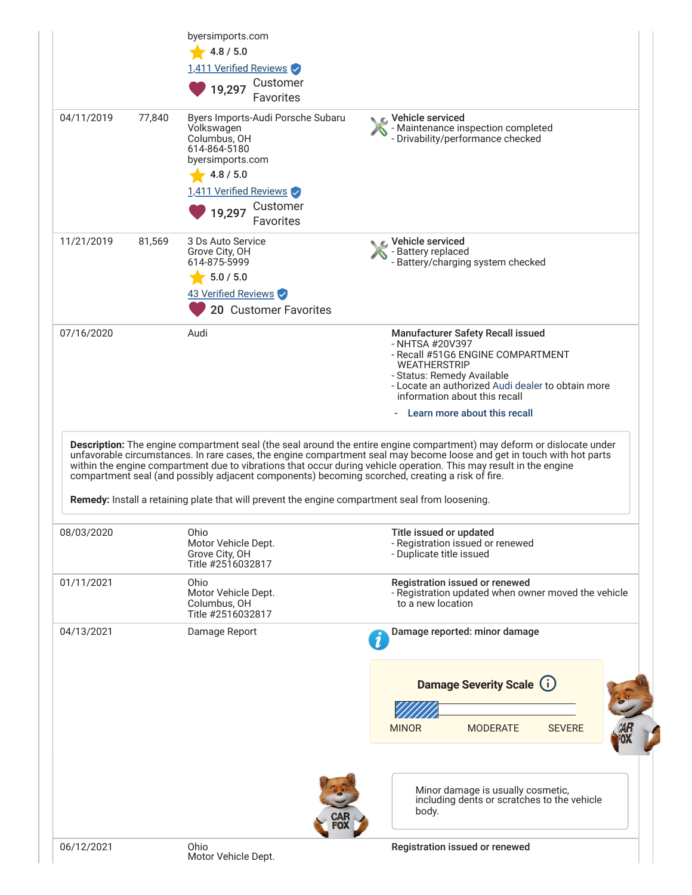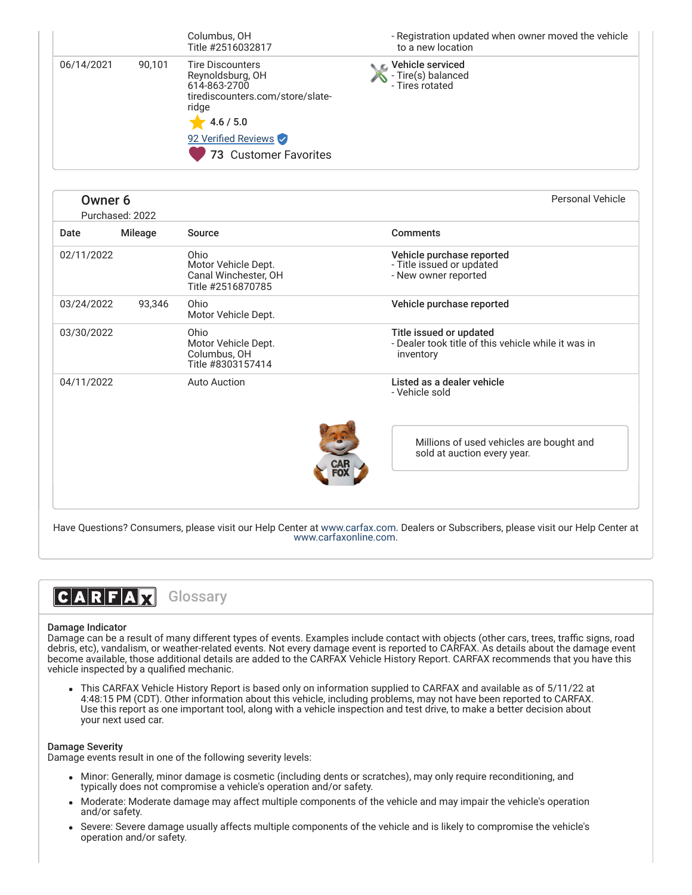|            |        | Columbus, OH<br>Title #2516032817                                                                                                                                     | - Registration updated when owner moved the vehicle<br>to a new location |
|------------|--------|-----------------------------------------------------------------------------------------------------------------------------------------------------------------------|--------------------------------------------------------------------------|
| 06/14/2021 | 90.101 | <b>Tire Discounters</b><br>Reynoldsburg, OH<br>614-863-2700<br>tirediscounters.com/store/slate-<br>ridge<br>4.6 / 5.0<br>92 Verified Reviews<br>73 Customer Favorites | Vehicle serviced<br>- Tire(s) balanced<br>- Tires rotated                |

| Owner <sub>6</sub> | Purchased: 2022 | Personal Vehicle                                                         |                                                                                               |
|--------------------|-----------------|--------------------------------------------------------------------------|-----------------------------------------------------------------------------------------------|
| Date               | <b>Mileage</b>  | Source                                                                   | <b>Comments</b>                                                                               |
| 02/11/2022         |                 | Ohio<br>Motor Vehicle Dept.<br>Canal Winchester, OH<br>Title #2516870785 | Vehicle purchase reported<br>- Title issued or updated<br>- New owner reported                |
| 03/24/2022         | 93,346          | Ohio<br>Motor Vehicle Dept.                                              | Vehicle purchase reported                                                                     |
| 03/30/2022         |                 | Ohio<br>Motor Vehicle Dept.<br>Columbus, OH<br>Title #8303157414         | Title issued or updated<br>- Dealer took title of this vehicle while it was in<br>inventory   |
| 04/11/2022         |                 | <b>Auto Auction</b>                                                      | Listed as a dealer vehicle<br>- Vehicle sold                                                  |
|                    |                 |                                                                          | Millions of used vehicles are bought and<br>sold at auction every year.<br><b>CAR<br/>FOX</b> |
|                    |                 |                                                                          |                                                                                               |

Have Questions? Consumers, please visit our Help Center at [www.carfax.com.](http://www.carfax.com/help) Dealers or Subscribers, please visit our Help Center at [www.carfaxonline.com](http://www.carfaxonline.com/).



#### Damage Indicator

Damage can be a result of many different types of events. Examples include contact with objects (other cars, trees, traffic signs, road debris, etc), vandalism, or weather-related events. Not every damage event is reported to CARFAX. As details about the damage event become available, those additional details are added to the CARFAX Vehicle History Report. CARFAX recommends that you have this vehicle inspected by a qualified mechanic.

This CARFAX Vehicle History Report is based only on information supplied to CARFAX and available as of 5/11/22 at 4:48:15 PM (CDT). Other information about this vehicle, including problems, may not have been reported to CARFAX. Use this report as one important tool, along with a vehicle inspection and test drive, to make a better decision about your next used car.

#### Damage Severity

Damage events result in one of the following severity levels:

- Minor: Generally, minor damage is cosmetic (including dents or scratches), may only require reconditioning, and typically does not compromise a vehicle's operation and/or safety.
- Moderate: Moderate damage may affect multiple components of the vehicle and may impair the vehicle's operation and/or safety.
- Severe: Severe damage usually affects multiple components of the vehicle and is likely to compromise the vehicle's operation and/or safety.